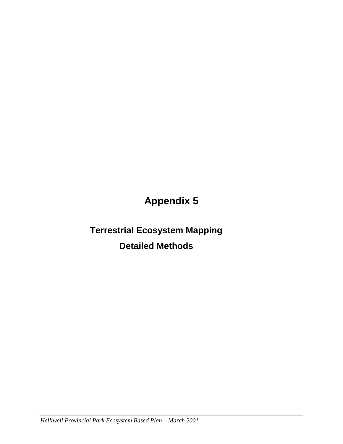# **Appendix 5**

# **Terrestrial Ecosystem Mapping Detailed Methods**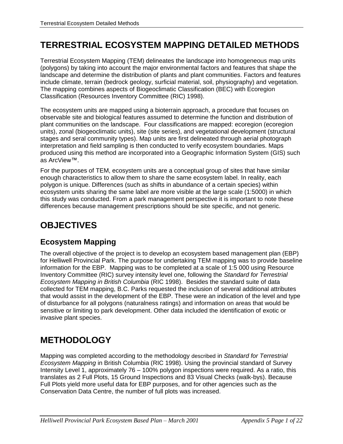## **TERRESTRIAL ECOSYSTEM MAPPING DETAILED METHODS**

Terrestrial Ecosystem Mapping (TEM) delineates the landscape into homogeneous map units (polygons) by taking into account the major environmental factors and features that shape the landscape and determine the distribution of plants and plant communities. Factors and features include climate, terrain (bedrock geology, surficial material, soil, physiography) and vegetation. The mapping combines aspects of Biogeoclimatic Classification (BEC) with Ecoregion Classification (Resources Inventory Committee (RIC) 1998).

The ecosystem units are mapped using a bioterrain approach, a procedure that focuses on observable site and biological features assumed to determine the function and distribution of plant communities on the landscape. Four classifications are mapped: ecoregion (ecoregion units), zonal (biogeoclimatic units), site (site series), and vegetational development (structural stages and seral community types). Map units are first delineated through aerial photograph interpretation and field sampling is then conducted to verify ecosystem boundaries. Maps produced using this method are incorporated into a Geographic Information System (GIS) such as ArcView™.

For the purposes of TEM, ecosystem units are a conceptual group of sites that have similar enough characteristics to allow them to share the same ecosystem label. In reality, each polygon is unique. Differences (such as shifts in abundance of a certain species) within ecosystem units sharing the same label are more visible at the large scale (1:5000) in which this study was conducted. From a park management perspective it is important to note these differences because management prescriptions should be site specific, and not generic.

## **OBJECTIVES**

### **Ecosystem Mapping**

The overall objective of the project is to develop an ecosystem based management plan (EBP) for Helliwell Provincial Park. The purpose for undertaking TEM mapping was to provide baseline information for the EBP. Mapping was to be completed at a scale of 1:5 000 using Resource Inventory Committee (RIC) survey intensity level one, following the *Standard for Terrestrial Ecosystem Mapping in British Columbia* (RIC 1998). Besides the standard suite of data collected for TEM mapping, B.C. Parks requested the inclusion of several additional attributes that would assist in the development of the EBP. These were an indication of the level and type of disturbance for all polygons (naturalness ratings) and information on areas that would be sensitive or limiting to park development. Other data included the identification of exotic or invasive plant species.

## **METHODOLOGY**

Mapping was completed according to the methodology described in *Standard for Terrestrial Ecosystem Mapping* in British Columbia (RIC 1998). Using the provincial standard of Survey Intensity Level 1, approximately 76 – 100% polygon inspections were required. As a ratio, this translates as 2 Full Plots, 15 Ground Inspections and 83 Visual Checks (walk-bys). Because Full Plots yield more useful data for EBP purposes, and for other agencies such as the Conservation Data Centre, the number of full plots was increased.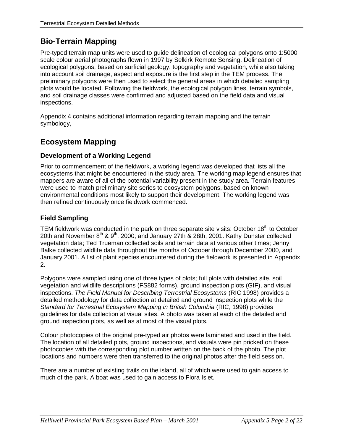### **Bio-Terrain Mapping**

Pre-typed terrain map units were used to guide delineation of ecological polygons onto 1:5000 scale colour aerial photographs flown in 1997 by Selkirk Remote Sensing. Delineation of ecological polygons, based on surficial geology, topography and vegetation, while also taking into account soil drainage, aspect and exposure is the first step in the TEM process. The preliminary polygons were then used to select the general areas in which detailed sampling plots would be located. Following the fieldwork, the ecological polygon lines, terrain symbols, and soil drainage classes were confirmed and adjusted based on the field data and visual inspections.

Appendix 4 contains additional information regarding terrain mapping and the terrain symbology,

### **Ecosystem Mapping**

#### **Development of a Working Legend**

Prior to commencement of the fieldwork, a working legend was developed that lists all the ecosystems that might be encountered in the study area. The working map legend ensures that mappers are aware of all of the potential variability present in the study area. Terrain features were used to match preliminary site series to ecosystem polygons, based on known environmental conditions most likely to support their development. The working legend was then refined continuously once fieldwork commenced.

#### **Field Sampling**

TEM fieldwork was conducted in the park on three separate site visits: October  $18<sup>th</sup>$  to October 20th and November 8th & 9th, 2000; and January 27th & 28th, 2001. Kathy Dunster collected vegetation data; Ted Trueman collected soils and terrain data at various other times; Jenny Balke collected wildlife data throughout the months of October through December 2000, and January 2001. A list of plant species encountered during the fieldwork is presented in Appendix 2.

Polygons were sampled using one of three types of plots; full plots with detailed site, soil vegetation and wildlife descriptions (FS882 forms), ground inspection plots (GIF), and visual inspections. *The Field Manual for Describing Terrestrial Ecosystems* (RIC 1998) provides a detailed methodology for data collection at detailed and ground inspection plots while the S*tandard for Terrestrial Ecosystem Mapping in British Columbia* (RIC, 1998) provides guidelines for data collection at visual sites. A photo was taken at each of the detailed and ground inspection plots, as well as at most of the visual plots.

Colour photocopies of the original pre-typed air photos were laminated and used in the field. The location of all detailed plots, ground inspections, and visuals were pin pricked on these photocopies with the corresponding plot number written on the back of the photo. The plot locations and numbers were then transferred to the original photos after the field session.

There are a number of existing trails on the island, all of which were used to gain access to much of the park. A boat was used to gain access to Flora Islet.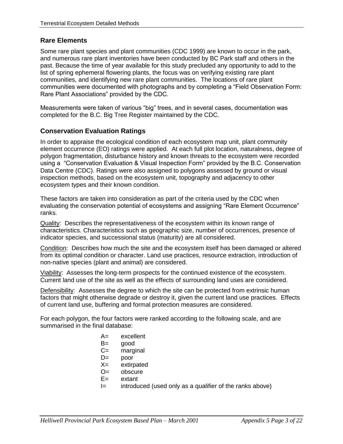#### **Rare Elements**

Some rare plant species and plant communities (CDC 1999) are known to occur in the park, and numerous rare plant inventories have been conducted by BC Park staff and others in the past. Because the time of year available for this study precluded any opportunity to add to the list of spring ephemeral flowering plants, the focus was on verifying existing rare plant communities, and identifying new rare plant communities. The locations of rare plant communities were documented with photographs and by completing a "Field Observation Form: Rare Plant Associations" provided by the CDC.

Measurements were taken of various "big" trees, and in several cases, documentation was completed for the B.C. Big Tree Register maintained by the CDC.

#### **Conservation Evaluation Ratings**

In order to appraise the ecological condition of each ecosystem map unit, plant community element occurrence (EO) ratings were applied. At each full plot location, naturalness, degree of polygon fragmentation, disturbance history and known threats to the ecosystem were recorded using a "Conservation Evaluation & Visual Inspection Form" provided by the B.C. Conservation Data Centre (CDC). Ratings were also assigned to polygons assessed by ground or visual inspection methods, based on the ecosystem unit, topography and adjacency to other ecosystem types and their known condition.

These factors are taken into consideration as part of the criteria used by the CDC when evaluating the conservation potential of ecosystems and assigning "Rare Element Occurrence" ranks.

Quality: Describes the representativeness of the ecosystem within its known range of characteristics. Characteristics such as geographic size, number of occurrences, presence of indicator species, and successional status (maturity) are all considered.

Condition: Describes how much the site and the ecosystem itself has been damaged or altered from its optimal condition or character. Land use practices, resource extraction, introduction of non-native species (plant and animal) are considered.

Viability: Assesses the long-term prospects for the continued existence of the ecosystem. Current land use of the site as well as the effects of surrounding land uses are considered.

Defensibility: Assesses the degree to which the site can be protected from extrinsic human factors that might otherwise degrade or destroy it, given the current land use practices. Effects of current land use, buffering and formal protection measures are considered.

For each polygon, the four factors were ranked according to the following scale, and are summarised in the final database:

- A= excellent
- B= good
- C= marginal
- D= poor
- X= extirpated
- O= obscure
- E= extant
- $I =$  introduced (used only as a qualifier of the ranks above)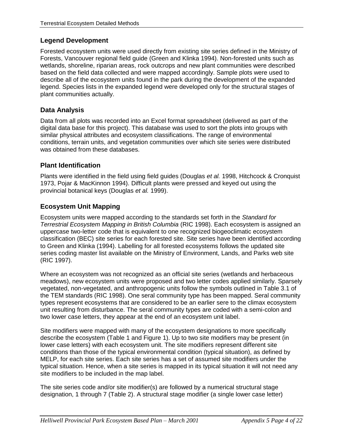#### **Legend Development**

Forested ecosystem units were used directly from existing site series defined in the Ministry of Forests, Vancouver regional field guide (Green and Klinka 1994). Non-forested units such as wetlands, shoreline, riparian areas, rock outcrops and new plant communities were described based on the field data collected and were mapped accordingly. Sample plots were used to describe all of the ecosystem units found in the park during the development of the expanded legend. Species lists in the expanded legend were developed only for the structural stages of plant communities actually.

#### **Data Analysis**

Data from all plots was recorded into an Excel format spreadsheet (delivered as part of the digital data base for this project). This database was used to sort the plots into groups with similar physical attributes and ecosystem classifications. The range of environmental conditions, terrain units, and vegetation communities over which site series were distributed was obtained from these databases.

#### **Plant Identification**

Plants were identified in the field using field guides (Douglas *et al.* 1998, Hitchcock & Cronquist 1973, Pojar & MacKinnon 1994). Difficult plants were pressed and keyed out using the provincial botanical keys (Douglas *et al.* 1999).

#### **Ecosystem Unit Mapping**

Ecosystem units were mapped according to the standards set forth in the *Standard for Terrestrial Ecosystem Mapping in British Columbia* (RIC 1998). Each ecosystem is assigned an uppercase two-letter code that is equivalent to one recognized biogeoclimatic ecosystem classification (BEC) site series for each forested site. Site series have been identified according to Green and Klinka (1994). Labelling for all forested ecosystems follows the updated site series coding master list available on the Ministry of Environment, Lands, and Parks web site (RIC 1997).

Where an ecosystem was not recognized as an official site series (wetlands and herbaceous meadows), new ecosystem units were proposed and two letter codes applied similarly. Sparsely vegetated, non-vegetated, and anthropogenic units follow the symbols outlined in Table 3.1 of the TEM standards (RIC 1998). One seral community type has been mapped. Seral community types represent ecosystems that are considered to be an earlier sere to the climax ecosystem unit resulting from disturbance. The seral community types are coded with a semi-colon and two lower case letters, they appear at the end of an ecosystem unit label.

Site modifiers were mapped with many of the ecosystem designations to more specifically describe the ecosystem [\(Table 1](#page-6-0) and [Figure 1\)](#page-6-1). Up to two site modifiers may be present (in lower case letters) with each ecosystem unit. The site modifiers represent different site conditions than those of the typical environmental condition (typical situation), as defined by MELP, for each site series. Each site series has a set of assumed site modifiers under the typical situation. Hence, when a site series is mapped in its typical situation it will not need any site modifiers to be included in the map label.

The site series code and/or site modifier(s) are followed by a numerical structural stage designation, 1 through 7 (Table 2). A structural stage modifier (a single lower case letter)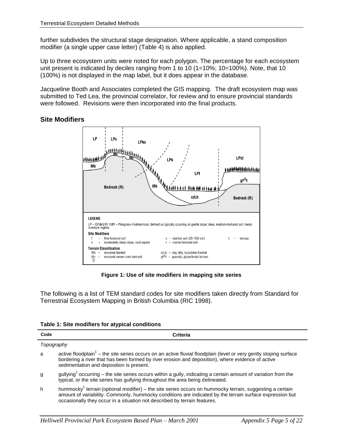further subdivides the structural stage designation. Where applicable, a stand composition modifier (a single upper case letter) (Table 4) is also applied.

Up to three ecosystem units were noted for each polygon. The percentage for each ecosystem unit present is indicated by deciles ranging from 1 to 10 (1=10%; 10=100%). Note, that 10 (100%) is not displayed in the map label, but it does appear in the database.

Jacqueline Booth and Associates completed the GIS mapping. The draft ecosystem map was submitted to Ted Lea, the provincial correlator, for review and to ensure provincial standards were followed. Revisions were then incorporated into the final products.

#### LP **LPs LPks**  $\cdots$ LPct I PL Mh LPf gF<sup>G</sup>t Mb Bedrock (R) 计转转转 czLb **Bedrock (R) LEGEND** LP - IDFdk3/01: FdPI - Pinegrass-Feathermoss: defined as typically occuring on gentle slope; deep, medium-textured soil; mesic moisture regime **Site Modifiers** fine-textured soil  $s -$  shallow soil (20-100 cm) terrace  $t =$ - moderately steep slope, cool aspect  $c - \text{coarse-textured soil}$ **Terrain Classification** czLb - clay silty, lacustrine blanket  $Mb$ morainal blanket morainal veneer over bedrock  $qF<sup>G</sup>t$  – gravelly, glaciofluvial terrace Mv  $\overline{R}$

#### **Site Modifiers**

**Figure 1: Use of site modifiers in mapping site series**

<span id="page-6-1"></span>The following is a list of TEM standard codes for site modifiers taken directly from Standard for Terrestrial Ecosystem Mapping in British Columbia (RIC 1998).

<span id="page-6-0"></span>

| Code       | Criteria                                                                                                                                                                                                                                                                                                      |
|------------|---------------------------------------------------------------------------------------------------------------------------------------------------------------------------------------------------------------------------------------------------------------------------------------------------------------|
| Topography |                                                                                                                                                                                                                                                                                                               |
| a          | active floodplain <sup>1</sup> – the site series occurs on an active fluvial floodplain (level or very gently sloping surface<br>bordering a river that has been formed by river erosion and deposition), where evidence of active<br>sedimentation and deposition is present.                                |
| g          | $gullying1 occurring - the site series occurs within a gully, indicating a certain amount of variation from the$<br>typical, or the site series has gullying throughout the area being delineated.                                                                                                            |
| h          | hummocky <sup>1</sup> terrain (optional modifier) – the site series occurs on hummocky terrain, suggesting a certain<br>amount of variability. Commonly, hummocky conditions are indicated by the terrain surface expression but<br>occasionally they occur in a situation not described by terrain features. |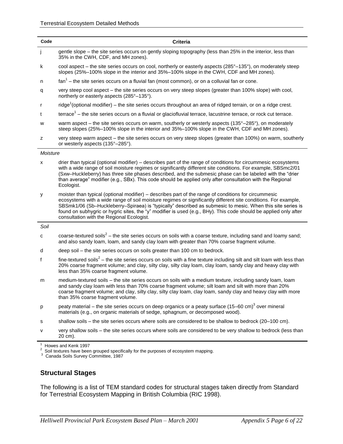| Code     | <b>Criteria</b>                                                                                                                                                                                                                                                                                                                                                                                                                                                                                       |
|----------|-------------------------------------------------------------------------------------------------------------------------------------------------------------------------------------------------------------------------------------------------------------------------------------------------------------------------------------------------------------------------------------------------------------------------------------------------------------------------------------------------------|
| j        | gentle slope – the site series occurs on gently sloping topography (less than 25% in the interior, less than<br>35% in the CWH, CDF, and MH zones).                                                                                                                                                                                                                                                                                                                                                   |
| k        | cool aspect – the site series occurs on cool, northerly or easterly aspects (285°–135°), on moderately steep<br>slopes (25%-100% slope in the interior and 35%-100% slope in the CWH, CDF and MH zones).                                                                                                                                                                                                                                                                                              |
| n        | $\tan^1$ – the site series occurs on a fluvial fan (most common), or on a colluvial fan or cone.                                                                                                                                                                                                                                                                                                                                                                                                      |
| q        | very steep cool aspect – the site series occurs on very steep slopes (greater than 100% slope) with cool,<br>northerly or easterly aspects (285°-135°).                                                                                                                                                                                                                                                                                                                                               |
| r        | ridge <sup>1</sup> (optional modifier) – the site series occurs throughout an area of ridged terrain, or on a ridge crest.                                                                                                                                                                                                                                                                                                                                                                            |
| t        | $terrace1 - the site series occurs on a fluvial or glaciofluvial terrace, lacustrine terrace, or rock cut terrace.$                                                                                                                                                                                                                                                                                                                                                                                   |
| W        | warm aspect – the site series occurs on warm, southerly or westerly aspects (135°–285°), on moderately<br>steep slopes (25%-100% slope in the interior and 35%-100% slope in the CWH, CDF and MH zones).                                                                                                                                                                                                                                                                                              |
| z        | very steep warm aspect - the site series occurs on very steep slopes (greater than 100%) on warm, southerly<br>or westerly aspects (135°-285°).                                                                                                                                                                                                                                                                                                                                                       |
| Moisture |                                                                                                                                                                                                                                                                                                                                                                                                                                                                                                       |
| x        | drier than typical (optional modifier) – describes part of the range of conditions for circummesic ecosystems<br>with a wide range of soil moisture regimes or significantly different site conditions. For example, SBSmc2/01<br>(Sxw-Huckleberry) has three site phases described, and the submesic phase can be labeled with the "drier<br>than average" modifier (e.g., SBx). This code should be applied only after consultation with the Regional<br>Ecologist.                                 |
| у        | moister than typical (optional modifier) – describes part of the range of conditions for circummesic<br>ecosystems with a wide range of soil moisture regimes or significantly different site conditions. For example,<br>SBSmk1/06 (Sb-Huckleberry-Spiraea) is "typically" described as submesic to mesic. When this site series is<br>found on subhygric or hygric sites, the "y" modifier is used (e.g., BHy). This code should be applied only after<br>consultation with the Regional Ecologist. |
| Soil     |                                                                                                                                                                                                                                                                                                                                                                                                                                                                                                       |
| с        | coarse-textured soils <sup>2</sup> – the site series occurs on soils with a coarse texture, including sand and loamy sand;<br>and also sandy loam, loam, and sandy clay loam with greater than 70% coarse fragment volume.                                                                                                                                                                                                                                                                            |
| d        | deep soil - the site series occurs on soils greater than 100 cm to bedrock.                                                                                                                                                                                                                                                                                                                                                                                                                           |
| f        | fine-textured soils $2$ – the site series occurs on soils with a fine texture including silt and silt loam with less than<br>20% coarse fragment volume; and clay, silty clay, silty clay loam, clay loam, sandy clay and heavy clay with<br>less than 35% coarse fragment volume.                                                                                                                                                                                                                    |
| m        | medium-textured soils - the site series occurs on soils with a medium texture, including sandy loam, loam<br>and sandy clay loam with less than 70% coarse fragment volume; silt loam and silt with more than 20%<br>coarse fragment volume; and clay, silty clay, silty clay loam, clay loam, sandy clay and heavy clay with more<br>than 35% coarse fragment volume.                                                                                                                                |
| p        | peaty material – the site series occurs on deep organics or a peaty surface (15–60 cm) <sup>3</sup> over mineral<br>materials (e.g., on organic materials of sedge, sphagnum, or decomposed wood).                                                                                                                                                                                                                                                                                                    |
| s        | shallow soils – the site series occurs where soils are considered to be shallow to bedrock (20–100 cm).                                                                                                                                                                                                                                                                                                                                                                                               |
| v        | very shallow soils - the site series occurs where soils are considered to be very shallow to bedrock (less than                                                                                                                                                                                                                                                                                                                                                                                       |

20 cm).

 $1$  Howes and Kenk 1997

 $2^{2}$  Soil textures have been grouped specifically for the purposes of ecosystem mapping.

<sup>3</sup> Canada Soils Survey Committee, 1987

#### **Structural Stages**

The following is a list of TEM standard codes for structural stages taken directly from Standard for Terrestrial Ecosystem Mapping in British Columbia (RIC 1998).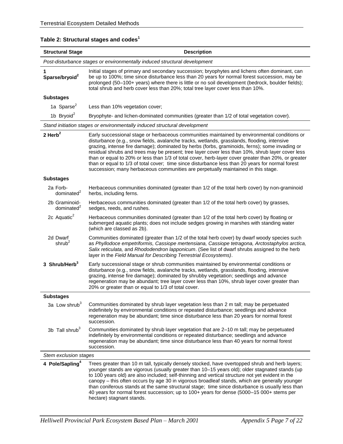| <b>Structural Stage</b>                                                                                                                                                                                                                                                                                                                                                                                                                                                                                                                                                                                                                                                                                          | <b>Description</b>                                                                                                                                                                                                                                                                                                                                                                                                                                                                                                                                                                                                                    |  |  |  |  |
|------------------------------------------------------------------------------------------------------------------------------------------------------------------------------------------------------------------------------------------------------------------------------------------------------------------------------------------------------------------------------------------------------------------------------------------------------------------------------------------------------------------------------------------------------------------------------------------------------------------------------------------------------------------------------------------------------------------|---------------------------------------------------------------------------------------------------------------------------------------------------------------------------------------------------------------------------------------------------------------------------------------------------------------------------------------------------------------------------------------------------------------------------------------------------------------------------------------------------------------------------------------------------------------------------------------------------------------------------------------|--|--|--|--|
| Post-disturbance stages or environmentally induced structural development                                                                                                                                                                                                                                                                                                                                                                                                                                                                                                                                                                                                                                        |                                                                                                                                                                                                                                                                                                                                                                                                                                                                                                                                                                                                                                       |  |  |  |  |
| 1<br>Sparse/bryoid <sup>2</sup>                                                                                                                                                                                                                                                                                                                                                                                                                                                                                                                                                                                                                                                                                  | Initial stages of primary and secondary succession; bryophytes and lichens often dominant, can<br>be up to 100%; time since disturbance less than 20 years for normal forest succession, may be<br>prolonged (50-100+ years) where there is little or no soil development (bedrock, boulder fields);<br>total shrub and herb cover less than 20%; total tree layer cover less than 10%.                                                                                                                                                                                                                                               |  |  |  |  |
| <b>Substages</b>                                                                                                                                                                                                                                                                                                                                                                                                                                                                                                                                                                                                                                                                                                 |                                                                                                                                                                                                                                                                                                                                                                                                                                                                                                                                                                                                                                       |  |  |  |  |
| 1a Sparse <sup>2</sup>                                                                                                                                                                                                                                                                                                                                                                                                                                                                                                                                                                                                                                                                                           | Less than 10% vegetation cover;                                                                                                                                                                                                                                                                                                                                                                                                                                                                                                                                                                                                       |  |  |  |  |
| 1b Bryoid <sup>2</sup>                                                                                                                                                                                                                                                                                                                                                                                                                                                                                                                                                                                                                                                                                           | Bryophyte- and lichen-dominated communities (greater than 1/2 of total vegetation cover).                                                                                                                                                                                                                                                                                                                                                                                                                                                                                                                                             |  |  |  |  |
|                                                                                                                                                                                                                                                                                                                                                                                                                                                                                                                                                                                                                                                                                                                  | Stand initiation stages or environmentally induced structural development                                                                                                                                                                                                                                                                                                                                                                                                                                                                                                                                                             |  |  |  |  |
| 2 Herb $^2$<br>Early successional stage or herbaceous communities maintained by environmental conditions or<br>disturbance (e.g., snow fields, avalanche tracks, wetlands, grasslands, flooding, intensive<br>grazing, intense fire damage); dominated by herbs (forbs, graminoids, ferns); some invading or<br>residual shrubs and trees may be present; tree layer cover less than 10%, shrub layer cover less<br>than or equal to 20% or less than 1/3 of total cover, herb-layer cover greater than 20%, or greater<br>than or equal to 1/3 of total cover; time since disturbance less than 20 years for normal forest<br>succession; many herbaceous communities are perpetually maintained in this stage. |                                                                                                                                                                                                                                                                                                                                                                                                                                                                                                                                                                                                                                       |  |  |  |  |
| <b>Substages</b>                                                                                                                                                                                                                                                                                                                                                                                                                                                                                                                                                                                                                                                                                                 |                                                                                                                                                                                                                                                                                                                                                                                                                                                                                                                                                                                                                                       |  |  |  |  |
| 2a Forb-<br>dominated $2$                                                                                                                                                                                                                                                                                                                                                                                                                                                                                                                                                                                                                                                                                        | Herbaceous communities dominated (greater than 1/2 of the total herb cover) by non-graminoid<br>herbs, including ferns.                                                                                                                                                                                                                                                                                                                                                                                                                                                                                                               |  |  |  |  |
| 2b Graminoid-<br>dominated <sup>2</sup>                                                                                                                                                                                                                                                                                                                                                                                                                                                                                                                                                                                                                                                                          | Herbaceous communities dominated (greater than 1/2 of the total herb cover) by grasses,<br>sedges, reeds, and rushes.                                                                                                                                                                                                                                                                                                                                                                                                                                                                                                                 |  |  |  |  |
| 2c Aquatic $2$                                                                                                                                                                                                                                                                                                                                                                                                                                                                                                                                                                                                                                                                                                   | Herbaceous communities dominated (greater than 1/2 of the total herb cover) by floating or<br>submerged aquatic plants; does not include sedges growing in marshes with standing water<br>(which are classed as 2b).                                                                                                                                                                                                                                                                                                                                                                                                                  |  |  |  |  |
| 2d Dwarf<br>shrub <sup>2</sup>                                                                                                                                                                                                                                                                                                                                                                                                                                                                                                                                                                                                                                                                                   | Communities dominated (greater than 1/2 of the total herb cover) by dwarf woody species such<br>as Phyllodoce empetriformis, Cassiope mertensiana, Cassiope tetragona, Arctostaphylos arctica,<br>Salix reticulata, and Rhododendron lapponicum. (See list of dwarf shrubs assigned to the herb<br>layer in the Field Manual for Describing Terrestrial Ecosystems).                                                                                                                                                                                                                                                                  |  |  |  |  |
| 3 Shrub/Herb <sup>3</sup>                                                                                                                                                                                                                                                                                                                                                                                                                                                                                                                                                                                                                                                                                        | Early successional stage or shrub communities maintained by environmental conditions or<br>disturbance (e.g., snow fields, avalanche tracks, wetlands, grasslands, flooding, intensive<br>grazing, intense fire damage); dominated by shrubby vegetation; seedlings and advance<br>regeneration may be abundant; tree layer cover less than 10%, shrub layer cover greater than<br>20% or greater than or equal to 1/3 of total cover.                                                                                                                                                                                                |  |  |  |  |
| <b>Substages</b>                                                                                                                                                                                                                                                                                                                                                                                                                                                                                                                                                                                                                                                                                                 |                                                                                                                                                                                                                                                                                                                                                                                                                                                                                                                                                                                                                                       |  |  |  |  |
| 3a Low shrub $3$                                                                                                                                                                                                                                                                                                                                                                                                                                                                                                                                                                                                                                                                                                 | Communities dominated by shrub layer vegetation less than 2 m tall; may be perpetuated<br>indefinitely by environmental conditions or repeated disturbance; seedlings and advance<br>regeneration may be abundant; time since disturbance less than 20 years for normal forest<br>succession.                                                                                                                                                                                                                                                                                                                                         |  |  |  |  |
| 3b Tall shrub <sup>3</sup>                                                                                                                                                                                                                                                                                                                                                                                                                                                                                                                                                                                                                                                                                       | Communities dominated by shrub layer vegetation that are 2-10 m tall; may be perpetuated<br>indefinitely by environmental conditions or repeated disturbance; seedlings and advance<br>regeneration may be abundant; time since disturbance less than 40 years for normal forest<br>succession.                                                                                                                                                                                                                                                                                                                                       |  |  |  |  |
|                                                                                                                                                                                                                                                                                                                                                                                                                                                                                                                                                                                                                                                                                                                  | Stem exclusion stages                                                                                                                                                                                                                                                                                                                                                                                                                                                                                                                                                                                                                 |  |  |  |  |
| 4 Pole/Sapling <sup>4</sup>                                                                                                                                                                                                                                                                                                                                                                                                                                                                                                                                                                                                                                                                                      | Trees greater than 10 m tall, typically densely stocked, have overtopped shrub and herb layers;<br>younger stands are vigorous (usually greater than 10-15 years old); older stagnated stands (up<br>to 100 years old) are also included; self-thinning and vertical structure not yet evident in the<br>canopy - this often occurs by age 30 in vigorous broadleaf stands, which are generally younger<br>than coniferous stands at the same structural stage; time since disturbance is usually less than<br>40 years for normal forest succession; up to 100+ years for dense (5000-15 000+ stems per<br>hectare) stagnant stands. |  |  |  |  |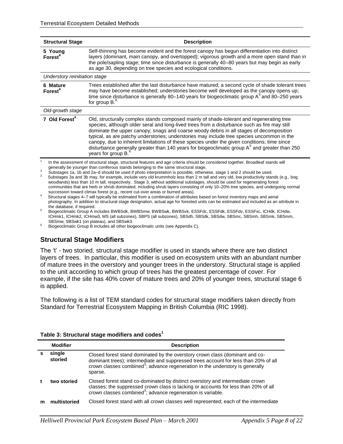| <b>Structural Stage</b>         | <b>Description</b>                                                                                                                                                                                                                                                                                                                                                                                                                                                                                                                                                                                                     |  |  |  |
|---------------------------------|------------------------------------------------------------------------------------------------------------------------------------------------------------------------------------------------------------------------------------------------------------------------------------------------------------------------------------------------------------------------------------------------------------------------------------------------------------------------------------------------------------------------------------------------------------------------------------------------------------------------|--|--|--|
| 5 Young<br>$\mathsf{Forest}^4$  | Self-thinning has become evident and the forest canopy has begun differentiation into distinct<br>layers (dominant, main canopy, and overtopped); vigorous growth and a more open stand than in<br>the pole/sapling stage; time since disturbance is generally 40-80 years but may begin as early<br>as age 30, depending on tree species and ecological conditions.                                                                                                                                                                                                                                                   |  |  |  |
| Understory reinitiation stage   |                                                                                                                                                                                                                                                                                                                                                                                                                                                                                                                                                                                                                        |  |  |  |
| 6 Mature<br>Forest <sup>4</sup> | Trees established after the last disturbance have matured; a second cycle of shade tolerant trees<br>may have become established; understories become well developed as the canopy opens up;<br>time since disturbance is generally 80–140 years for biogeoclimatic group A <sup>5</sup> and 80–250 years<br>for group $B^6$ .                                                                                                                                                                                                                                                                                         |  |  |  |
| Old-growth stage                |                                                                                                                                                                                                                                                                                                                                                                                                                                                                                                                                                                                                                        |  |  |  |
| 7 Old Forest <sup>4</sup>       | Old, structurally complex stands composed mainly of shade-tolerant and regenerating tree<br>species, although older seral and long-lived trees from a disturbance such as fire may still<br>dominate the upper canopy; snags and coarse woody debris in all stages of decomposition<br>typical, as are patchy understories; understories may include tree species uncommon in the<br>canopy, due to inherent limitations of these species under the given conditions; time since<br>disturbance generally greater than 140 years for biogeoclimatic group $A5$ and greater than 250<br>years for group B. <sup>6</sup> |  |  |  |
| $\overline{c}$                  | In the assessment of structural stage, structural features and age criteria should be considered together. Broadleaf stands will<br>generally be younger than coniferous stands belonging to the same structural stage.<br>Substages 1a, 1b and 2a-d should be used if photo interpretation is possible, otherwise, stage 1 and 2 should be used.                                                                                                                                                                                                                                                                      |  |  |  |

Substages 3a and 3b may, for example, include very old krummholz less than 2 m tall and very old, low productivity stands (e.g., bog woodlands) less than 10 m tall, respectively. Stage 3, without additional substages, should be used for regenerating forest communities that are herb or shrub dominated, including shrub layers consisting of only 10–20% tree species, and undergoing normal succession toward climax forest (e.g., recent cut-over areas or burned areas).

<sup>4</sup>Structural stages 4–7 will typically be estimated from a combination of attributes based on forest inventory maps and aerial photography. In addition to structural stage designation, actual age for forested units can be estimated and included as an attribute in the database, if required.

Biogeoclimatic Group A includes BWBSdk, BWBSmw, BWBSwk, BWBSvk, ESSFdc, ESSFdk, ESSFdv, ESSFxc, ICHdk, ICHdw, ICHmk1, ICHmk2, ICHmw3, MS (all subzones), SBPS (all subzones), SBSdh, SBSdk, SBSdw, SBSmc, SBSmh, SBSmk, SBSmm, SBSmw, SBSwk1 (on plateau), and SBSwk3.

Biogeoclimatic Group B includes all other biogeoclimatic units (see Appendix C).

#### **Structural Stage Modifiers**

The 't' - two storied, structural stage modifier is used in stands where there are two distinct layers of trees. In particular, this modifier is used on ecosystem units with an abundant number of mature trees in the overstory and younger trees in the understory. Structural stage is applied to the unit according to which group of trees has the greatest percentage of cover. For example, if the site has 40% cover of mature trees and 20% of younger trees, structural stage 6 is applied.

The following is a list of TEM standard codes for structural stage modifiers taken directly from Standard for Terrestrial Ecosystem Mapping in British Columbia (RIC 1998).

| Table 3: Structural stage modifiers and codes <sup>1</sup> |  |  |  |  |
|------------------------------------------------------------|--|--|--|--|
|------------------------------------------------------------|--|--|--|--|

| <b>Modifier</b>   | <b>Description</b>                                                                                                                                                                                                                                                          |  |  |
|-------------------|-----------------------------------------------------------------------------------------------------------------------------------------------------------------------------------------------------------------------------------------------------------------------------|--|--|
| single<br>storied | Closed forest stand dominated by the overstory crown class (dominant and co-<br>dominant trees); intermediate and suppressed trees account for less than 20% of all<br>crown classes combined <sup>3</sup> ; advance regeneration in the understory is generally<br>sparse. |  |  |
| two storied       | Closed forest stand co-dominated by distinct overstory and intermediate crown<br>classes; the suppressed crown class is lacking or accounts for less than 20% of all<br>crown classes combined <sup>3</sup> ; advance regeneration is variable.                             |  |  |
| multistoried      | Closed forest stand with all crown classes well represented; each of the intermediate                                                                                                                                                                                       |  |  |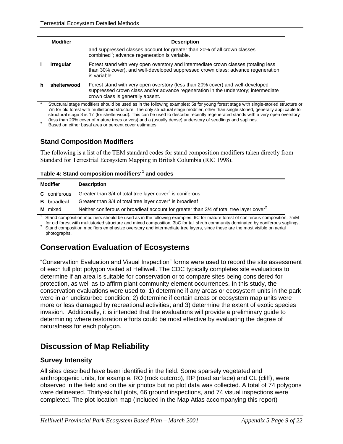| <b>Modifier</b> | <b>Description</b>                                                                                                                                                                                       |
|-----------------|----------------------------------------------------------------------------------------------------------------------------------------------------------------------------------------------------------|
|                 | and suppressed classes account for greater than 20% of all crown classes<br>combined <sup>3</sup> ; advance regeneration is variable.                                                                    |
| irregular       | Forest stand with very open overstory and intermediate crown classes (totaling less<br>than 30% cover), and well-developed suppressed crown class; advance regeneration<br>is variable.                  |
| shelterwood     | Forest stand with very open overstory (less than 20% cover) and well-developed<br>suppressed crown class and/or advance regeneration in the understory; intermediate<br>crown class is generally absent. |

Structural stage modifiers should be used as in the following examples: 5s for young forest stage with single-storied structure or 7m for old forest with multistoried structure. The only structural stage modifier, other than single storied, generally applicable to structural stage 3 is "h" (for shelterwood). This can be used to describe recently regenerated stands with a very open overstory (less than 20% cover of mature trees or vets) and a (usually dense) understory of seedlings and saplings.

2 Based on either basal area or percent cover estimates.

#### **Stand Composition Modifiers**

The following is a list of the TEM standard codes for stand composition modifiers taken directly from Standard for Terrestrial Ecosystem Mapping in British Columbia (RIC 1998).

| Table 4: Stand composition modifiers' <sup>1</sup> and codes |  |  |  |  |
|--------------------------------------------------------------|--|--|--|--|
|--------------------------------------------------------------|--|--|--|--|

| <b>Modifier</b> |                     | <b>Description</b>                                                                                  |  |
|-----------------|---------------------|-----------------------------------------------------------------------------------------------------|--|
|                 | <b>C</b> coniferous | Greater than $3/4$ of total tree layer cover <sup>2</sup> is coniferous                             |  |
|                 | <b>B</b> broadleaf  | Greater than 3/4 of total tree layer cover <sup>2</sup> is broadleaf                                |  |
|                 | <b>M</b> mixed      | Neither coniferous or broadleaf account for greater than 3/4 of total tree layer cover <sup>2</sup> |  |

Stand composition modifiers should be used as in the following examples: 6C for mature forest of coniferous composition, 7mM for old forest with multistoried structure and mixed composition, 3bC for tall shrub community dominated by coniferous saplings.

<sup>2</sup> Stand composition modifiers emphasize overstory and intermediate tree layers, since these are the most visible on aerial photographs.

### **Conservation Evaluation of Ecosystems**

"Conservation Evaluation and Visual Inspection" forms were used to record the site assessment of each full plot polygon visited at Helliwell. The CDC typically completes site evaluations to determine if an area is suitable for conservation or to compare sites being considered for protection, as well as to affirm plant community element occurrences. In this study, the conservation evaluations were used to: 1) determine if any areas or ecosystem units in the park were in an undisturbed condition; 2) determine if certain areas or ecosystem map units were more or less damaged by recreational activities; and 3) determine the extent of exotic species invasion. Additionally, it is intended that the evaluations will provide a preliminary guide to determining where restoration efforts could be most effective by evaluating the degree of naturalness for each polygon.

### **Discussion of Map Reliability**

#### **Survey Intensity**

All sites described have been identified in the field. Some sparsely vegetated and anthropogenic units, for example, RO (rock outcrop), RP (road surface) and CL (cliff), were observed in the field and on the air photos but no plot data was collected. A total of 74 polygons were delineated. Thirty-six full plots, 66 ground inspections, and 74 visual inspections were completed. The plot location map (Included in the Map Atlas accompanying this report)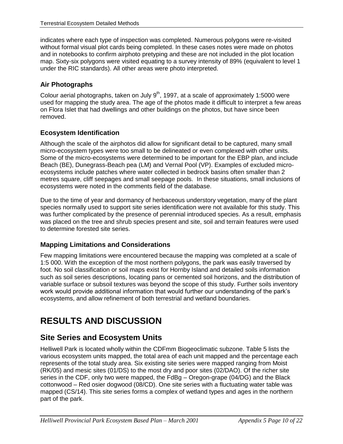indicates where each type of inspection was completed. Numerous polygons were re-visited without formal visual plot cards being completed. In these cases notes were made on photos and in notebooks to confirm airphoto pretyping and these are not included in the plot location map. Sixty-six polygons were visited equating to a survey intensity of 89% (equivalent to level 1 under the RIC standards). All other areas were photo interpreted.

#### **Air Photographs**

Colour aerial photographs, taken on July  $9<sup>th</sup>$ , 1997, at a scale of approximately 1:5000 were used for mapping the study area. The age of the photos made it difficult to interpret a few areas on Flora Islet that had dwellings and other buildings on the photos, but have since been removed.

#### **Ecosystem Identification**

Although the scale of the airphotos did allow for significant detail to be captured, many small micro-ecosystem types were too small to be delineated or even complexed with other units. Some of the micro-ecosystems were determined to be important for the EBP plan, and include Beach (BE), Dunegrass-Beach pea (LM) and Vernal Pool (VP). Examples of excluded microecosystems include patches where water collected in bedrock basins often smaller than 2 metres square, cliff seepages and small seepage pools. In these situations, small inclusions of ecosystems were noted in the comments field of the database.

Due to the time of year and dormancy of herbaceous understory vegetation, many of the plant species normally used to support site series identification were not available for this study. This was further complicated by the presence of perennial introduced species. As a result, emphasis was placed on the tree and shrub species present and site, soil and terrain features were used to determine forested site series.

#### **Mapping Limitations and Considerations**

Few mapping limitations were encountered because the mapping was completed at a scale of 1:5 000. With the exception of the most northern polygons, the park was easily traversed by foot. No soil classification or soil maps exist for Hornby Island and detailed soils information such as soil series descriptions, locating pans or cemented soil horizons, and the distribution of variable surface or subsoil textures was beyond the scope of this study. Further soils inventory work would provide additional information that would further our understanding of the park"s ecosystems, and allow refinement of both terrestrial and wetland boundaries.

## **RESULTS AND DISCUSSION**

### **Site Series and Ecosystem Units**

Helliwell Park is located wholly within the CDFmm Biogeoclimatic subzone. Table 5 lists the various ecosystem units mapped, the total area of each unit mapped and the percentage each represents of the total study area. Six existing site series were mapped ranging from Moist (RK/05) and mesic sites (01/DS) to the most dry and poor sites (02/DAO). Of the richer site series in the CDF, only two were mapped, the FdBg – Oregon-grape (04/DG) and the Black cottonwood – Red osier dogwood (08/CD). One site series with a fluctuating water table was mapped (CS/14). This site series forms a complex of wetland types and ages in the northern part of the park.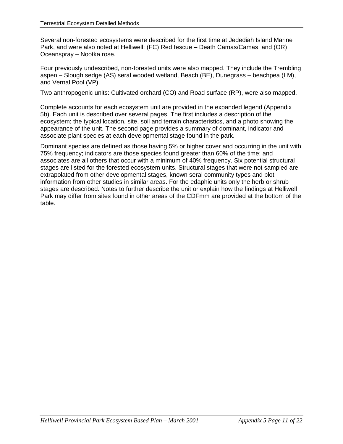Several non-forested ecosystems were described for the first time at Jedediah Island Marine Park, and were also noted at Helliwell: (FC) Red fescue – Death Camas/Camas, and (OR) Oceanspray – Nootka rose.

Four previously undescribed, non-forested units were also mapped. They include the Trembling aspen – Slough sedge (AS) seral wooded wetland, Beach (BE), Dunegrass – beachpea (LM), and Vernal Pool (VP).

Two anthropogenic units: Cultivated orchard (CO) and Road surface (RP), were also mapped.

Complete accounts for each ecosystem unit are provided in the expanded legend (Appendix 5b). Each unit is described over several pages. The first includes a description of the ecosystem; the typical location, site, soil and terrain characteristics, and a photo showing the appearance of the unit. The second page provides a summary of dominant, indicator and associate plant species at each developmental stage found in the park.

Dominant species are defined as those having 5% or higher cover and occurring in the unit with 75% frequency; indicators are those species found greater than 60% of the time; and associates are all others that occur with a minimum of 40% frequency. Six potential structural stages are listed for the forested ecosystem units. Structural stages that were not sampled are extrapolated from other developmental stages, known seral community types and plot information from other studies in similar areas. For the edaphic units only the herb or shrub stages are described. Notes to further describe the unit or explain how the findings at Helliwell Park may differ from sites found in other areas of the CDFmm are provided at the bottom of the table.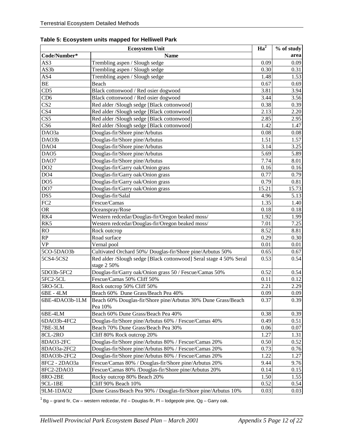| <b>Ecosystem Unit</b>       |                                                                                   |                   | % of study |
|-----------------------------|-----------------------------------------------------------------------------------|-------------------|------------|
| Code/Number*<br><b>Name</b> |                                                                                   |                   | area       |
| AS3                         | Trembling aspen / Slough sedge                                                    | 0.09              | 0.09       |
| AS3b                        | Trembling aspen / Slough sedge                                                    | 0.30              | 0.31       |
| AS4                         | Trembling aspen / Slough sedge                                                    | 1.48              | 1.53       |
| <b>BE</b>                   | Beach                                                                             | 0.67              | 0.69       |
| CD5                         | Black cottonwood / Red osier dogwood                                              | 3.81              | 3.94       |
| CD <sub>6</sub>             | Black cottonwood / Red osier dogwood                                              | 3.44              | 3.56       |
| $\overline{\text{CS2}}$     | Red alder /Slough sedge [Black cottonwood]                                        | 0.38              | 0.39       |
| $\overline{\text{CS}4}$     | Red alder /Slough sedge [Black cottonwood]                                        | 2.13              | 2.20       |
| $\overline{\text{CS}5}$     | Red alder /Slough sedge [Black cottonwood]                                        | 2.85              | 2.95       |
| CS <sub>6</sub>             | Red alder /Slough sedge [Black cottonwood]                                        | 1.42              | 1.47       |
| DAO3a                       | Douglas-fir/Shore pine/Arbutus                                                    | 0.08              | 0.08       |
| DAO3b                       | Douglas-fir/Shore pine/Arbutus                                                    | 1.51              | 1.57       |
| DAO <sub>4</sub>            | Douglas-fir/Shore pine/Arbutus                                                    | 3.14              | 3.25       |
| DAO5                        | Douglas-fir/Shore pine/Arbutus                                                    | 5.69              | 5.89       |
| DAO7                        | Douglas-fir/Shore pine/Arbutus                                                    | 7.74              | 8.01       |
| DO2                         | Douglas-fir/Garry oak/Onion grass                                                 | 0.16              | 0.16       |
| DO <sub>4</sub>             | Douglas-fir/Garry oak/Onion grass                                                 | 0.77              | 0.79       |
| DO <sub>5</sub>             | Douglas-fir/Garry oak/Onion grass                                                 | 0.79              | $0.81\,$   |
| DO <sub>7</sub>             | Douglas-fir/Garry oak/Onion grass                                                 | 15.21             | 15.73      |
| DS5                         | Douglas-fir/Salal                                                                 | 4.96              | 5.13       |
| FC <sub>2</sub>             | Fescue/Camas                                                                      | 1.35              | 1.40       |
| <b>OR</b>                   | Oceanspray/Rose                                                                   | 0.18              | 0.18       |
| RK4                         | Western redcedar/Douglas-fir/Oregon beaked moss/                                  | 1.92              | 1.99       |
| RK5                         | Western redcedar/Douglas-fir/Oregon beaked moss/                                  | 7.01              | 7.25       |
| RO                          | Rock outcrop                                                                      | 8.52              | 8.81       |
| RP                          | Road surface                                                                      | 0.29              | 0.30       |
| <b>VP</b>                   | Vernal pool                                                                       | 0.01              | 0.01       |
| 5CO-5DAO3b                  | Cultivated Orchard 50%/ Douglas-fir/Shore pine/Arbutus 50%                        | 0.65              | 0.67       |
| 5CS4-5CS2                   | Red alder /Slough sedge [Black cottonwood] Seral stage 4 50% Seral<br>stage 2 50% | 0.53              | 0.54       |
| 5DO3b-5FC2                  | Douglas-fir/Garry oak/Onion grass 50 / Fescue/Camas 50%                           | 0.52              | 0.54       |
| 5FC2-5CL                    | Fescue/Camas 50% Cliff 50%                                                        | 0.11              | 0.12       |
| 5RO-5CL                     | Rock outcrop 50% Cliff 50%                                                        | $\overline{2.21}$ | 2.29       |
| 6BE - 4LM                   | Beach 60% Dune Grass/Beach Pea 40%                                                | 0.09              | 0.09       |
| 6BE-4DAO3b-1LM              | Beach 60% Douglas-fir/Shore pine/Arbutus 30% Dune Grass/Beach<br>Pea 10%          | 0.37              | 0.39       |
| 6BE-4LM                     | Beach 60% Dune Grass/Beach Pea 40%                                                | 0.38              | 0.39       |
| 6DAO3b-4FC2                 | Douglas-fir/Shore pine/Arbutus 60% / Fescue/Camas 40%                             | 0.49              | 0.51       |
| 7BE-3LM                     | Beach 70% Dune Grass/Beach Pea 30%                                                | 0.06              | 0.07       |
| 8CL-2RO                     | Cliff 80% Rock outcrop 20%                                                        | 1.27              | 1.31       |
| 8DAO3-2FC                   | Douglas-fir/Shore pine/Arbutus 80% / Fescue/Camas 20%                             | 0.50              | 0.52       |
| 8DAO3a-2FC2                 | Douglas-fir/Shore pine/Arbutus 80% / Fescue/Camas 20%                             | 0.73              | 0.76       |
| 8DAO3b-2FC2                 | Douglas-fir/Shore pine/Arbutus 80% / Fescue/Camas 20%                             | 1.22              | 1.27       |
| 8FC2 - 2DAO3a               | Fescue/Camas 80% / Douglas-fir/Shore pine/Arbutus 20%                             | 9.44              | 9.76       |
| 8FC2-2DAO3                  | Fescue/Camas 80% /Douglas-fir/Shore pine/Arbutus 20%                              | 0.14              | 0.15       |
| 8RO-2BE                     | Rocky outcrop 80% Beach 20%                                                       | 1.50              | 1.55       |
| 9CL-1BE                     | Cliff 90% Beach 10%                                                               | 0.52              | 0.54       |
| 9LM-1DAO2                   | Dune Grass/Beach Pea 90% / Douglas-fir/Shore pine/Arbutus 10%                     | 0.03              | 0.03       |

**Table 5: Ecosystem units mapped for Helliwell Park**

 $1$ Bg – grand fir, Cw – western redcedar, Fd – Douglas-fir, Pl – lodgepole pine, Qg – Garry oak.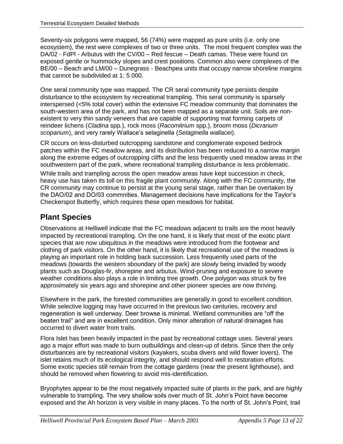Seventy-six polygons were mapped, 56 (74%) were mapped as pure units (i.e. only one ecosystem), the rest were complexes of two or three units. The most frequent complex was the DA/02 - FdPl - Arbutus with the CV/00 – Red fescue – Death camas. These were found on exposed gentle or hummocky slopes and crest positions. Common also were complexes of the BE/00 – Beach and LM/00 – Dunegrass - Beachpea units that occupy narrow shoreline margins that cannot be subdivided at 1: 5 000.

One seral community type was mapped. The CR seral community type persists despite disturbance to tthe ecosystem by recreational trampling. This seral community is sparsely interspersed (<5% total cover) within the extensive FC meadow community that dominates the south-western area of the park, and has not been mapped as a separate unit. Soils are nonexistent to very thin sandy veneers that are capable of supporting mat forming carpets of reindeer lichens (*Cladina* spp.), rock moss (*Racomitrium* spp.), broom moss (*Dicranum scoparium*), and very rarely Wallace"s selaginella (*Selaginella wallacei*).

CR occurs on less-disturbed outcropping sandstone and conglomerate exposed bedrock patches within the FC meadow areas, and its distribution has been reduced to a narrow margin along the extreme edges of outcropping cliffs and the less frequently used meadow areas in the southwestern part of the park, where recreational trampling disturbance is less problematic.

While trails and trampling across the open meadow areas have kept succession in check, heavy use has taken its toll on this fragile plant community. Along with the FC community, the CR community may continue to persist at the young seral stage, rather than be overtaken by the DAO/02 and DO/03 commnities. Management decisions have implications for the Taylor"s Checkerspot Butterfly, which requires these open meadows for habitat.

### **Plant Species**

Observations at Helliwell indicate that the FC meadows adjacent to trails are the most heavily impacted by recreational trampling. On the one hand, it is likely that most of the exotic plant species that are now ubiquitous in the meadows were introduced from the footwear and clothing of park visitors. On the other hand, it is likely that recreational use of the meadows is playing an important role in holding back succession. Less frequently used parts of the meadows (towards the western sboundary of the park) are slowly being invaded by woody plants such as Douglas-fir, shorepine and arbutus. Wind-pruning and exposure to severe weather conditions also plays a role in limiting tree growth. One polygon was struck by fire approximately six years ago and shorepine and other pioneer species are now thriving.

Elsewhere in the park, the forested communities are generally in good to excellent condition. While selective logging may have occurred in the previous two centuries, recovery and regeneration is well underway. Deer browse is minimal. Wetland communities are "off the beaten trail" and are in excellent condition. Only minor alteration of natural drainages has occurred to divert water from trails.

Flora Islet has been heavily impacted in the past by recreational cottage uses. Several years ago a major effort was made to burn outbuildings and clean-up of debris. Since then the only disturbances are by recreational visitors (kayakers, scuba divers and wild flower lovers). The islet retains much of its ecological integrity, and should respond well to restoration efforts. Some exotic species still remain from the cottage gardens (near the present lighthouse), and should be removed when flowering to avoid mis-identification.

Bryophytes appear to be the most negatively impacted suite of plants in the park, and are highly vulnerable to trampling. The very shallow soils over much of St. John"s Point have become exposed and the Ah horizon is very visible in many places. To the north of St. John"s Point, trail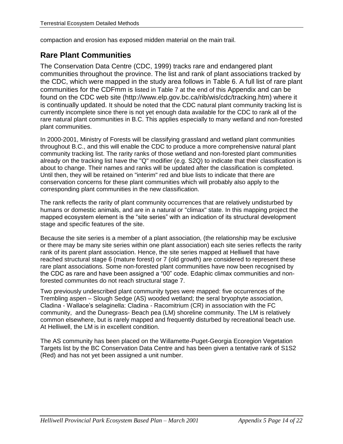compaction and erosion has exposed midden material on the main trail.

### **Rare Plant Communities**

The Conservation Data Centre (CDC, 1999) tracks rare and endangered plant communities throughout the province. The list and rank of plant associations tracked by the CDC, which were mapped in the study area follows in [Table 6.](#page-16-0) A full list of rare plant communities for the CDFmm is listed in [Table 7](#page-20-0) at the end of this Appendix and can be found on the CDC web site (http://www.elp.gov.bc.ca/rib/wis/cdc/tracking.htm) where it is continually updated. It should be noted that the CDC natural plant community tracking list is currently incomplete since there is not yet enough data available for the CDC to rank all of the rare natural plant communities in B.C. This applies especially to many wetland and non-forested plant communities.

In 2000-2001, Ministry of Forests will be classifying grassland and wetland plant communities throughout B.C., and this will enable the CDC to produce a more comprehensive natural plant community tracking list. The rarity ranks of those wetland and non-forested plant communities already on the tracking list have the "Q" modifier (e.g. S2Q) to indicate that their classification is about to change. Their names and ranks will be updated after the classification is completed. Until then, they will be retained on "interim" red and blue lists to indicate that there are conservation concerns for these plant communities which will probably also apply to the corresponding plant communities in the new classification.

The rank reflects the rarity of plant community occurrences that are relatively undisturbed by humans or domestic animals, and are in a natural or "climax" state. In this mapping project the mapped ecosystem element is the "site series" with an indication of its structural development stage and specific features of the site.

Because the site series is a member of a plant association, (the relationship may be exclusive or there may be many site series within one plant association) each site series reflects the rarity rank of its parent plant association. Hence, the site series mapped at Helliwell that have reached structural stage 6 (mature forest) or 7 (old growth) are considered to represent these rare plant associations. Some non-forested plant communities have now been recognised by the CDC as rare and have been assigned a "00" code. Edaphic climax communities and nonforested communites do not reach structural stage 7.

Two previously undescribed plant community types were mapped: five occurrences of the Trembling aspen – Slough Sedge (AS) wooded wetland; the seral bryophyte association, Cladina - Wallace"s selaginella: Cladina - Racomitrium (CR) in association with the FC community, and the Dunegrass- Beach pea (LM) shoreline community. The LM is relatively common elsewhere, but is rarely mapped and frequently disturbed by recreational beach use. At Helliwell, the LM is in excellent condition.

The AS community has been placed on the Willamette-Puget-Georgia Ecoregion Vegetation Targets list by the BC Conservation Data Centre and has been given a tentative rank of S1S2 (Red) and has not yet been assigned a unit number.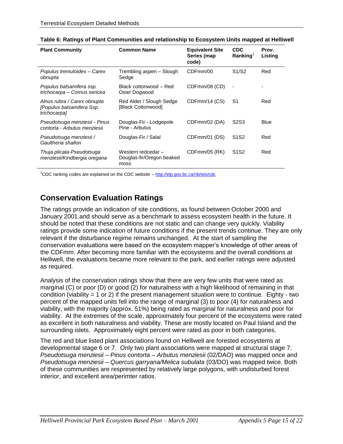| <b>Plant Community</b>                                                   | <b>Common Name</b>                                      | <b>Equivalent Site</b><br>Series (map<br>code) | <b>CDC</b><br>Ranking <sup>1</sup> | Prov.<br>Listing |
|--------------------------------------------------------------------------|---------------------------------------------------------|------------------------------------------------|------------------------------------|------------------|
| Populus tremuloides - Carex<br>obnupta                                   | Trembling aspen - Slough<br>Sedge                       | CDFmm/00                                       | S1/S2                              | Red              |
| Populus balsamifera ssp.<br>trichocarpa - Cornus sericea                 | Black cottonwood - Red<br>Osier Dogwood                 | CDFmm/08 (CD)                                  |                                    |                  |
| Alnus rubra / Carex obnupta<br>[Populus balsamifera Ssp.<br>trichocarpal | Red Alder / Slough Sedge<br>[Black Cottonwood]          | CDFmm/14 (CS)                                  | S1                                 | Red              |
| Pseudotsuga menziesii - Pinus<br>contorta - Arbutus menziesii            | Douglas-Fir - Lodgepole<br>Pine - Arbutus               | CDFmm/02 (DA)                                  | S <sub>2</sub> S <sub>3</sub>      | <b>Blue</b>      |
| Pseudotsuga menziesii /<br>Gaultheria shallon                            | Douglas-Fir / Salal                                     | CDFmm/01 (DS)                                  | S <sub>1</sub> S <sub>2</sub>      | Red              |
| Thuja plicata-Pseudotsuga<br>menziesii/Kindbergia oregana                | Western redcedar -<br>Douglas-fir/Oregon beaked<br>moss | CDFmm/05 (RK)                                  | S <sub>1</sub> S <sub>2</sub>      | Red              |

<span id="page-16-0"></span>

 $1^{\circ}$ CDC ranking codes are explained on the CDC website – <http://elp.gov.bc.ca/rib/wis/cdc>

### **Conservation Evaluation Ratings**

The ratings provide an indication of site conditions, as found between October 2000 and January 2001 and should serve as a benchmark to assess ecosystem health in the future. It should be noted that these conditions are not static and can change very quickly. Viability ratings provide some indication of future conditions if the present trends continue. They are only relevant if the disturbance regime remains unchanged. At the start of sampling the conservation evaluations were based on the ecosystem mapper"s knowledge of other areas of the CDFmm. After becoming more familiar with the ecosystems and the overall conditions at Helliwell, the evaluations became more relevant to the park, and earlier ratings were adjusted as required.

Analysis of the conservation ratings show that there are very few units that were rated as marginal (C) or poor (D) or good (2) for naturalness with a high likelihood of remaining in that condition (viability = 1 or 2) if the present management situation were to continue. Eighty - two percent of the mapped units fell into the range of marginal (3) to poor (4) for naturalness and viability, with the majority (approx. 51%) being rated as marginal for naturalness and poor for viability. At the extremes of the scale, approximately four percent of the ecosystems were rated as excellent in both naturalness and viability. These are mostly located on Paul Island and the surrounding islets. Approximately eight percent were rated as poor in both categories.

The red and blue listed plant associations found on Helliwell are forested ecosystems at developmental stage 6 or 7. Only two plant associations were mapped at structural stage 7: *Pseudotsuga menziesii – Pinus contorta – Arbutus menziesii* (02/DAO) was mapped once and *Pseudotsuga menziesii – Quercus garryana/Melica subulata* (03/DO) was mapped twice. Both of these communities are respresented by relatively large polygons, with undisturbed forest interior, and excellent area/perimter ratios.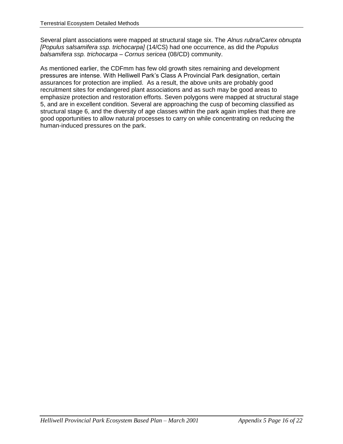Several plant associations were mapped at structural stage six. The *Alnus rubra/Carex obnupta [Populus salsamifera ssp. trichocarpa]* (14/CS) had one occurrence, as did the *Populus balsamifera ssp. trichocarpa – Cornus sericea* (08/CD) community.

As mentioned earlier, the CDFmm has few old growth sites remaining and development pressures are intense. With Helliwell Park"s Class A Provincial Park designation, certain assurances for protection are implied. As a result, the above units are probably good recruitment sites for endangered plant associations and as such may be good areas to emphasize protection and restoration efforts. Seven polygons were mapped at structural stage 5, and are in excellent condition. Several are approaching the cusp of becoming classified as structural stage 6, and the diversity of age classes within the park again implies that there are good opportunities to allow natural processes to carry on while concentrating on reducing the human-induced pressures on the park.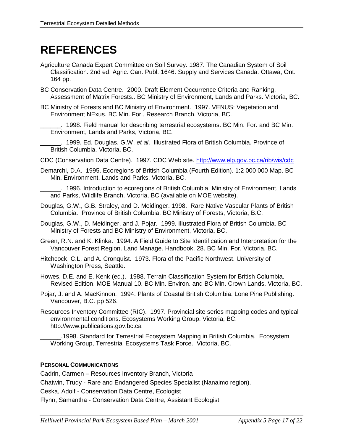# **REFERENCES**

- Agriculture Canada Expert Committee on Soil Survey. 1987. The Canadian System of Soil Classification. 2nd ed. Agric. Can. Publ. 1646. Supply and Services Canada. Ottawa, Ont. 164 pp.
- BC Conservation Data Centre. 2000. Draft Element Occurrence Criteria and Ranking, Assessment of Matrix Forests.. BC Ministry of Environment, Lands and Parks. Victoria, BC.
- BC Ministry of Forests and BC Ministry of Environment. 1997. VENUS: Vegetation and Environment NExus. BC Min. For., Research Branch. Victoria, BC.
	- \_\_\_\_\_\_. 1998. Field manual for describing terrestrial ecosystems. BC Min. For. and BC Min. Environment, Lands and Parks, Victoria, BC.
	- \_\_\_\_\_\_. 1999. Ed. Douglas, G.W. *et al*. Illustrated Flora of British Columbia. Province of British Columbia. Victoria, BC.
- CDC (Conservation Data Centre). 1997. CDC Web site.<http://www.elp.gov.bc.ca/rib/wis/cdc>
- Demarchi, D.A. 1995. Ecoregions of British Columbia (Fourth Edition). 1:2 000 000 Map. BC Min. Environment, Lands and Parks. Victoria, BC.

\_\_\_\_\_\_. 1996. Introduction to ecoregions of British Columbia. Ministry of Environment, Lands and Parks, Wildlife Branch. Victoria, BC (available on MOE website).

- Douglas, G.W., G.B. Straley, and D. Meidinger. 1998. Rare Native Vascular Plants of British Columbia. Province of British Columbia, BC Ministry of Forests, Victoria, B.C.
- Douglas, G.W., D. Meidinger, and J. Pojar. 1999. Illustrated Flora of British Columbia. BC Ministry of Forests and BC Ministry of Environment, Victoria, BC.
- Green, R.N. and K. Klinka. 1994. A Field Guide to Site Identification and Interpretation for the Vancouver Forest Region. Land Manage. Handbook. 28. BC Min. For. Victoria, BC.
- Hitchcock, C.L. and A. Cronquist. 1973. Flora of the Pacific Northwest. University of Washington Press, Seattle.
- Howes, D.E. and E. Kenk (ed.). 1988. Terrain Classification System for British Columbia. Revised Edition. MOE Manual 10. BC Min. Environ. and BC Min. Crown Lands. Victoria, BC.
- Pojar, J. and A. MacKinnon. 1994. Plants of Coastal British Columbia. Lone Pine Publishing. Vancouver, B.C. pp 526.
- Resources Inventory Committee (RIC). 1997. Provincial site series mapping codes and typical environmental conditions. Ecosystems Working Group. Victoria, BC. [http://www.publications.gov.bc.ca](http://www.publications.gov.bc.ca/)

\_\_\_\_\_\_.1998. Standard for Terrestrial Ecosystem Mapping in British Columbia. Ecosystem Working Group, Terrestrial Ecosystems Task Force. Victoria, BC.

#### **PERSONAL COMMUNICATIONS**

Cadrin, Carmen – Resources Inventory Branch, Victoria Chatwin, Trudy - Rare and Endangered Species Specialist (Nanaimo region). Ceska, Adolf - Conservation Data Centre, Ecologist Flynn, Samantha - Conservation Data Centre, Assistant Ecologist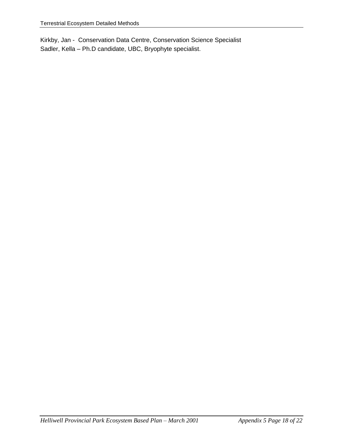Kirkby, Jan - Conservation Data Centre, Conservation Science Specialist Sadler, Kella – Ph.D candidate, UBC, Bryophyte specialist.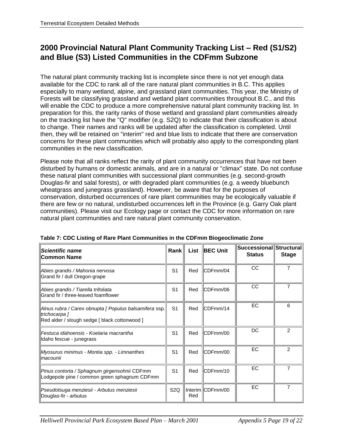### **2000 Provincial Natural Plant Community Tracking List – Red (S1/S2) and Blue (S3) Listed Communities in the CDFmm Subzone**

The natural plant community tracking list is incomplete since there is not yet enough data available for the CDC to rank all of the rare natural plant communities in B.C. This applies especially to many wetland, alpine, and grassland plant communities. This year, the Ministry of Forests will be classifying grassland and wetland plant communities throughout B.C., and this will enable the CDC to produce a more comprehensive natural plant community tracking list. In preparation for this, the rarity ranks of those wetland and grassland plant communities already on the tracking list have the "Q" modifier (e.g. S2Q) to indicate that their classification is about to change. Their names and ranks will be updated after the classification is completed. Until then, they will be retained on "interim" red and blue lists to indicate that there are conservation concerns for these plant communities which will probably also apply to the corresponding plant communities in the new classification.

Please note that all ranks reflect the rarity of plant community occurrences that have not been disturbed by humans or domestic animals, and are in a natural or "climax" state. Do not confuse these natural plant communities with successional plant communities (e.g. second-growth Douglas-fir and salal forests), or with degraded plant communities (e.g. a weedy bluebunch wheatgrass and junegrass grassland). However, be aware that for the purposes of conservation, disturbed occurrences of rare plant communities may be ecologically valuable if there are few or no natural, undisturbed occurrences left in the Province (e.g. Garry Oak plant communities). Please visit our Ecology page or contact the CDC for more information on rare natural plant communities and rare natural plant community conservation.

| <b>Scientific name</b><br><b>Common Name</b>                                                                              | $Rank \parallel$ | List | <b>BEC Unit</b>  | Successional Structural<br><b>Status</b> | <b>Stage</b>   |
|---------------------------------------------------------------------------------------------------------------------------|------------------|------|------------------|------------------------------------------|----------------|
| Abies grandis / Mahonia nervosa<br>Grand fir / dull Oregon-grape                                                          | S <sub>1</sub>   | Red  | CDFmm/04         | <b>CC</b>                                | 7              |
| Abies grandis / Tiarella trifoliata<br>Grand fir / three-leaved foamflower                                                | S <sub>1</sub>   | Red  | CDFmm/06         | <b>CC</b>                                |                |
| Alnus rubra / Carex obnupta [ Populus balsamifera ssp.]<br>trichocarpa 1<br>Red alder / slough sedge [ black cottonwood ] | S <sub>1</sub>   | Red  | CDFmm/14         | EC                                       | 6              |
| Festuca idahoensis - Koelaria macrantha<br>Idaho fescue - junegrass                                                       | S <sub>1</sub>   | Red  | CDFmm/00         | DC                                       | 2              |
| Myosurus minimus - Montia spp. - Limnanthes<br>lmacounii                                                                  | S <sub>1</sub>   | Red  | CDFmm/00         | <b>EC</b>                                | $\mathfrak{p}$ |
| Pinus contorta / Sphagnum girgensohnii CDFmm<br>Lodgepole pine / common green sphagnum CDFmm                              | S <sub>1</sub>   | Red  | CDFmm/10         | EC                                       | 7              |
| Pseudotsuga menziesii - Arbutus menziesii<br>Douglas-fir - arbutus                                                        | S <sub>2</sub> Q | Red  | Interim CDFmm/00 | EC                                       |                |

<span id="page-20-0"></span>**Table 7: CDC Listing of Rare Plant Communities in the CDFmm Biogeoclimatic Zone**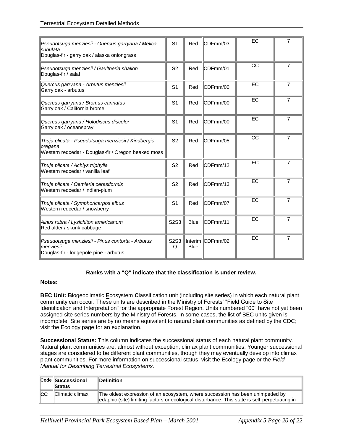| Pseudotsuga menziesii - Quercus garryana / Melica<br>subulata<br>Douglas-fir - garry oak / alaska oniongrass         | S <sub>1</sub>                     | Red         | CDFmm/03         | EC | 7              |
|----------------------------------------------------------------------------------------------------------------------|------------------------------------|-------------|------------------|----|----------------|
| Pseudotsuga menziesii / Gaultheria shallon<br>Douglas-fir / salal                                                    | S <sub>2</sub>                     | Red         | CDFmm/01         | CC | 7              |
| Quercus garryana - Arbutus menziesii<br>Garry oak - arbutus                                                          | S <sub>1</sub>                     | Red         | CDFmm/00         | EC | 7              |
| Quercus garryana / Bromus carinatus<br>Garry oak / California brome                                                  | S <sub>1</sub>                     | Red         | CDFmm/00         | EC | 7              |
| Quercus garryana / Holodiscus discolor<br>Garry oak / oceanspray                                                     | S <sub>1</sub>                     | Red         | CDFmm/00         | EC | $\overline{7}$ |
| Thuja plicata - Pseudotsuga menziesii / Kindbergia<br>oregana<br>Western redcedar - Douglas-fir / Oregon beaked moss | S <sub>2</sub>                     | Red         | CDFmm/05         | CC | 7              |
| Thuja plicata / Achlys triphylla<br>Western redcedar / vanilla leaf                                                  | S <sub>2</sub>                     | Red         | CDFmm/12         | EC | $\overline{7}$ |
| Thuja plicata / Oemleria cerasiformis<br>Western redcedar / indian-plum                                              | S <sub>2</sub>                     | Red         | CDFmm/13         | EC | $\overline{7}$ |
| Thuja plicata / Symphoricarpos albus<br>Western redcedar / snowberry                                                 | S <sub>1</sub>                     | Red         | CDFmm/07         | EC | 7              |
| Alnus rubra / Lysichiton americanum<br>Red alder / skunk cabbage                                                     | S2S3                               | <b>Blue</b> | CDFmm/11         | EC | 7              |
| Pseudotsuga menziesii - Pinus contorta - Arbutus<br>menziesii<br>Douglas-fir - lodgepole pine - arbutus              | S <sub>2</sub> S <sub>3</sub><br>Q | <b>Blue</b> | Interim CDFmm/02 | EC | 7              |

#### **Ranks with a "Q" indicate that the classification is under review.**

#### **Notes:**

**BEC Unit: B**iogeoclimatic **E**cosystem **C**lassification unit (including site series) in which each natural plant community can occur. These units are described in the Ministry of Forests" "Field Guide to Site Identification and Interpretation" for the appropriate Forest Region. Units numbered "00" have not yet been assigned site series numbers by the Ministry of Forests. In some cases, the list of BEC units given is incomplete. Site series are by no means equivalent to natural plant communities as defined by the CDC; visit the Ecology page for an explanation.

**Successional Status:** This column indicates the successional status of each natural plant community. Natural plant communities are, almost without exception, climax plant communities. Younger successional stages are considered to be different plant communities, though they may eventually develop into climax plant communities. For more information on successional status, visit the Ecology page or the *Field Manual for Describing Terrestrial Ecosystems.*

|     | Code Successional<br><b>Status</b> | <b>IDefinition</b>                                                                                                                                                             |
|-----|------------------------------------|--------------------------------------------------------------------------------------------------------------------------------------------------------------------------------|
| ∥cc | <b>Climatic climax</b>             | The oldest expression of an ecosystem, where succession has been unimpeded by<br>edaphic (site) limiting factors or ecological disturbance. This state is self-perpetuating in |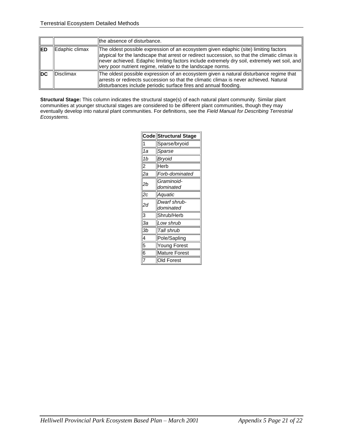|            |                | the absence of disturbance.                                                                                                                                                                                                                                                                                                                          |
|------------|----------------|------------------------------------------------------------------------------------------------------------------------------------------------------------------------------------------------------------------------------------------------------------------------------------------------------------------------------------------------------|
| <b>IED</b> | Edaphic climax | The oldest possible expression of an ecosystem given edaphic (site) limiting factors<br>atypical for the landscape that arrest or redirect succession, so that the climatic climax is<br>never achieved. Edaphic limiting factors include extremely dry soil, extremely wet soil, and<br>very poor nutrient regime, relative to the landscape norms. |
| ∥DC        | Disclimax      | The oldest possible expression of an ecosystem given a natural disturbance regime that<br>arrests or redirects succession so that the climatic climax is never achieved. Natural<br>disturbances include periodic surface fires and annual flooding.                                                                                                 |

**Structural Stage:** This column indicates the structural stage(s) of each natural plant community. Similar plant communities at younger structural stages are considered to be different plant communities, though they may eventually develop into natural plant communities. For definitions, see the *Field Manual for Describing Terrestrial Ecosystems.*

|                 | Code Structural Stage     |
|-----------------|---------------------------|
| 1               | Sparse/bryoid             |
| 1a              | Sparse                    |
| 1b              | Bryoid                    |
| 2               | Herb                      |
| 2a              | Forb-dominated            |
| 2b              | Graminoid-<br>dominated   |
| $\overline{2c}$ | Aquatic                   |
| 2d              | Dwarf shrub-<br>dominated |
| 3               | Shrub/Herb                |
| За              | Low shrub                 |
| Зb              | Tall shrub                |
| 4               | Pole/Sapling              |
| 5               | Young Forest              |
| 6               | <b>Mature Forest</b>      |
| 7               | <b>Old Forest</b>         |